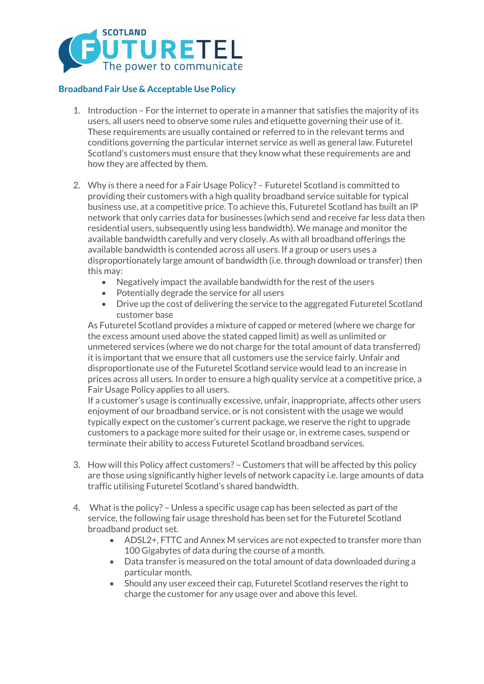

## **Broadband Fair Use & Acceptable Use Policy**

- 1. Introduction For the internet to operate in a manner that satisfies the majority of its users, all users need to observe some rules and etiquette governing their use of it. These requirements are usually contained or referred to in the relevant terms and conditions governing the particular internet service as well as general law. Futuretel Scotland's customers must ensure that they know what these requirements are and how they are affected by them.
- 2. Why is there a need for a Fair Usage Policy? Futuretel Scotland is committed to providing their customers with a high quality broadband service suitable for typical business use, at a competitive price. To achieve this, Futuretel Scotland has built an IP network that only carries data for businesses (which send and receive far less data then residential users, subsequently using less bandwidth). We manage and monitor the available bandwidth carefully and very closely. As with all broadband offerings the available bandwidth is contended across all users. If a group or users uses a disproportionately large amount of bandwidth (i.e. through download or transfer) then this may:
	- Negatively impact the available bandwidth for the rest of the users
	- Potentially degrade the service for all users
	- Drive up the cost of delivering the service to the aggregated Futuretel Scotland customer base

As Futuretel Scotland provides a mixture of capped or metered (where we charge for the excess amount used above the stated capped limit) as well as unlimited or unmetered services (where we do not charge for the total amount of data transferred) it is important that we ensure that all customers use the service fairly. Unfair and disproportionate use of the Futuretel Scotland service would lead to an increase in prices across all users. In order to ensure a high quality service at a competitive price, a Fair Usage Policy applies to all users.

If a customer's usage is continually excessive, unfair, inappropriate, affects other users enjoyment of our broadband service, or is not consistent with the usage we would typically expect on the customer's current package, we reserve the right to upgrade customers to a package more suited for their usage or, in extreme cases, suspend or terminate their ability to access Futuretel Scotland broadband services.

- 3. How will this Policy affect customers? Customers that will be affected by this policy are those using significantly higher levels of network capacity i.e. large amounts of data traffic utilising Futuretel Scotland's shared bandwidth.
- 4. What is the policy? Unless a specific usage cap has been selected as part of the service, the following fair usage threshold has been set for the Futuretel Scotland broadband product set.
	- ADSL2+, FTTC and Annex M services are not expected to transfer more than 100 Gigabytes of data during the course of a month.
	- Data transfer is measured on the total amount of data downloaded during a particular month.
	- Should any user exceed their cap, Futuretel Scotland reserves the right to charge the customer for any usage over and above this level.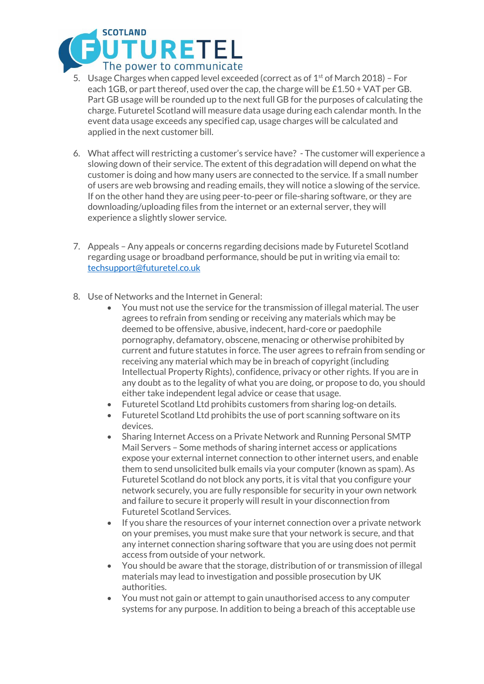

- 5. Usage Charges when capped level exceeded (correct as of  $1<sup>st</sup>$  of March 2018) For each 1GB, or part thereof, used over the cap, the charge will be £1.50 + VAT per GB. Part GB usage will be rounded up to the next full GB for the purposes of calculating the charge. Futuretel Scotland will measure data usage during each calendar month. In the event data usage exceeds any specified cap, usage charges will be calculated and applied in the next customer bill.
- 6. What affect will restricting a customer's service have? The customer will experience a slowing down of their service. The extent of this degradation will depend on what the customer is doing and how many users are connected to the service. If a small number of users are web browsing and reading emails, they will notice a slowing of the service. If on the other hand they are using peer-to-peer or file-sharing software, or they are downloading/uploading files from the internet or an external server, they will experience a slightly slower service.
- 7. Appeals Any appeals or concerns regarding decisions made by Futuretel Scotland regarding usage or broadband performance, should be put in writing via email to: [techsupport@futuretel.co.uk](mailto:techsupport@futuretel.co.uk)
- 8. Use of Networks and the Internet in General:
	- You must not use the service for the transmission of illegal material. The user agrees to refrain from sending or receiving any materials which may be deemed to be offensive, abusive, indecent, hard-core or paedophile pornography, defamatory, obscene, menacing or otherwise prohibited by current and future statutes in force. The user agrees to refrain from sending or receiving any material which may be in breach of copyright (including Intellectual Property Rights), confidence, privacy or other rights. If you are in any doubt as to the legality of what you are doing, or propose to do, you should either take independent legal advice or cease that usage.
	- Futuretel Scotland Ltd prohibits customers from sharing log-on details.
	- Futuretel Scotland Ltd prohibits the use of port scanning software on its devices.
	- Sharing Internet Access on a Private Network and Running Personal SMTP Mail Servers – Some methods of sharing internet access or applications expose your external internet connection to other internet users, and enable them to send unsolicited bulk emails via your computer (known as spam). As Futuretel Scotland do not block any ports, it is vital that you configure your network securely, you are fully responsible for security in your own network and failure to secure it properly will result in your disconnection from Futuretel Scotland Services.
	- If you share the resources of your internet connection over a private network on your premises, you must make sure that your network is secure, and that any internet connection sharing software that you are using does not permit access from outside of your network.
	- You should be aware that the storage, distribution of or transmission of illegal materials may lead to investigation and possible prosecution by UK authorities.
	- You must not gain or attempt to gain unauthorised access to any computer systems for any purpose. In addition to being a breach of this acceptable use